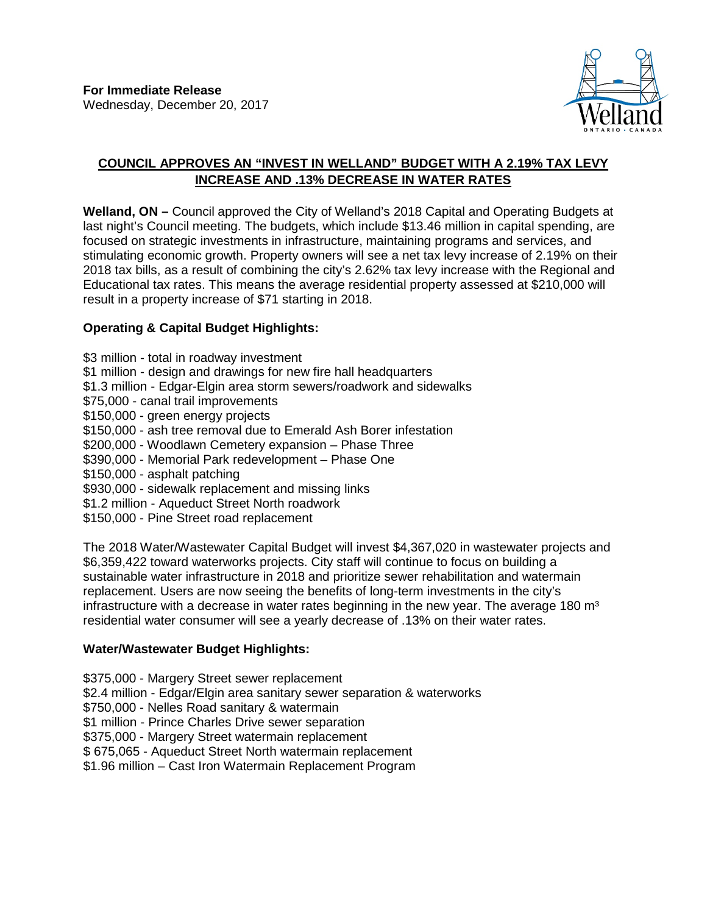

## **COUNCIL APPROVES AN "INVEST IN WELLAND" BUDGET WITH A 2.19% TAX LEVY INCREASE AND .13% DECREASE IN WATER RATES**

**Welland, ON –** Council approved the City of Welland's 2018 Capital and Operating Budgets at last night's Council meeting. The budgets, which include \$13.46 million in capital spending, are focused on strategic investments in infrastructure, maintaining programs and services, and stimulating economic growth. Property owners will see a net tax levy increase of 2.19% on their 2018 tax bills, as a result of combining the city's 2.62% tax levy increase with the Regional and Educational tax rates. This means the average residential property assessed at \$210,000 will result in a property increase of \$71 starting in 2018.

## **Operating & Capital Budget Highlights:**

\$3 million - total in roadway investment \$1 million - design and drawings for new fire hall headquarters \$1.3 million - Edgar-Elgin area storm sewers/roadwork and sidewalks \$75,000 - canal trail improvements \$150,000 - green energy projects \$150,000 - ash tree removal due to Emerald Ash Borer infestation \$200,000 - Woodlawn Cemetery expansion – Phase Three \$390,000 - Memorial Park redevelopment – Phase One \$150,000 - asphalt patching \$930,000 - sidewalk replacement and missing links \$1.2 million - Aqueduct Street North roadwork \$150,000 - Pine Street road replacement The 2018 Water/Wastewater Capital Budget will invest \$4,367,020 in wastewater projects and

\$6,359,422 toward waterworks projects. City staff will continue to focus on building a sustainable water infrastructure in 2018 and prioritize sewer rehabilitation and watermain replacement. Users are now seeing the benefits of long-term investments in the city's infrastructure with a decrease in water rates beginning in the new year. The average 180  $m<sup>3</sup>$ residential water consumer will see a yearly decrease of .13% on their water rates.

## **Water/Wastewater Budget Highlights:**

\$375,000 - Margery Street sewer replacement

\$2.4 million - Edgar/Elgin area sanitary sewer separation & waterworks

\$750,000 - Nelles Road sanitary & watermain

\$1 million - Prince Charles Drive sewer separation

\$375,000 - Margery Street watermain replacement

\$ 675,065 - Aqueduct Street North watermain replacement

\$1.96 million – Cast Iron Watermain Replacement Program